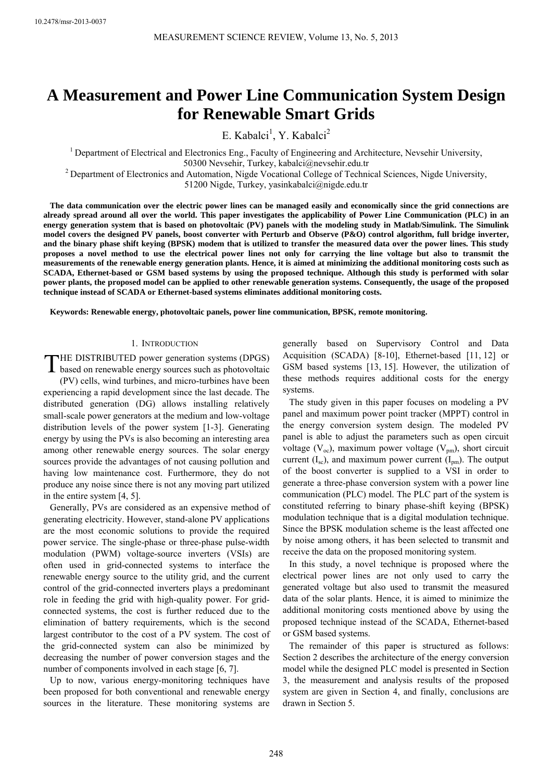# **A Measurement and Power Line Communication System Design for Renewable Smart Grids**

E. Kabalci<sup>1</sup>, Y. Kabalci<sup>2</sup>

<sup>1</sup> Department of Electrical and Electronics Eng., Faculty of Engineering and Architecture, Nevsehir University, 50300 Nevsehir, Turkey, kabalci@nevsehir.edu.tr<br><sup>2</sup> Department of Electronics and Automation, Nigde Vocational College of Technical Sciences, Nigde University,

51200 Nigde, Turkey, yasinkabalci@nigde.edu.tr

**The data communication over the electric power lines can be managed easily and economically since the grid connections are already spread around all over the world. This paper investigates the applicability of Power Line Communication (PLC) in an energy generation system that is based on photovoltaic (PV) panels with the modeling study in Matlab/Simulink. The Simulink model covers the designed PV panels, boost converter with Perturb and Observe (P&O) control algorithm, full bridge inverter, and the binary phase shift keying (BPSK) modem that is utilized to transfer the measured data over the power lines. This study proposes a novel method to use the electrical power lines not only for carrying the line voltage but also to transmit the measurements of the renewable energy generation plants. Hence, it is aimed at minimizing the additional monitoring costs such as SCADA, Ethernet-based or GSM based systems by using the proposed technique. Although this study is performed with solar power plants, the proposed model can be applied to other renewable generation systems. Consequently, the usage of the proposed technique instead of SCADA or Ethernet-based systems eliminates additional monitoring costs.** 

**Keywords: Renewable energy, photovoltaic panels, power line communication, BPSK, remote monitoring.** 

# 1. INTRODUCTION

HE DISTRIBUTED power generation systems (DPGS) THE DISTRIBUTED power generation systems (DPGS) based on renewable energy sources such as photovoltaic

(PV) cells, wind turbines, and micro-turbines have been experiencing a rapid development since the last decade. The distributed generation (DG) allows installing relatively small-scale power generators at the medium and low-voltage distribution levels of the power system [1-3]. Generating energy by using the PVs is also becoming an interesting area among other renewable energy sources. The solar energy sources provide the advantages of not causing pollution and having low maintenance cost. Furthermore, they do not produce any noise since there is not any moving part utilized in the entire system [4, 5].

Generally, PVs are considered as an expensive method of generating electricity. However, stand-alone PV applications are the most economic solutions to provide the required power service. The single-phase or three-phase pulse-width modulation (PWM) voltage-source inverters (VSIs) are often used in grid-connected systems to interface the renewable energy source to the utility grid, and the current control of the grid-connected inverters plays a predominant role in feeding the grid with high-quality power. For gridconnected systems, the cost is further reduced due to the elimination of battery requirements, which is the second largest contributor to the cost of a PV system. The cost of the grid-connected system can also be minimized by decreasing the number of power conversion stages and the number of components involved in each stage [6, 7].

Up to now, various energy-monitoring techniques have been proposed for both conventional and renewable energy sources in the literature. These monitoring systems are generally based on Supervisory Control and Data Acquisition (SCADA) [8-10], Ethernet-based [11, 12] or GSM based systems [13, 15]. However, the utilization of these methods requires additional costs for the energy systems.

The study given in this paper focuses on modeling a PV panel and maximum power point tracker (MPPT) control in the energy conversion system design. The modeled PV panel is able to adjust the parameters such as open circuit voltage ( $V_{\text{oc}}$ ), maximum power voltage ( $V_{\text{pm}}$ ), short circuit current  $(I_{\rm sc})$ , and maximum power current  $(I_{\rm pm})$ . The output of the boost converter is supplied to a VSI in order to generate a three-phase conversion system with a power line communication (PLC) model. The PLC part of the system is constituted referring to binary phase-shift keying (BPSK) modulation technique that is a digital modulation technique. Since the BPSK modulation scheme is the least affected one by noise among others, it has been selected to transmit and receive the data on the proposed monitoring system.

In this study, a novel technique is proposed where the electrical power lines are not only used to carry the generated voltage but also used to transmit the measured data of the solar plants. Hence, it is aimed to minimize the additional monitoring costs mentioned above by using the proposed technique instead of the SCADA, Ethernet-based or GSM based systems.

The remainder of this paper is structured as follows: Section 2 describes the architecture of the energy conversion model while the designed PLC model is presented in Section 3, the measurement and analysis results of the proposed system are given in Section 4, and finally, conclusions are drawn in Section 5.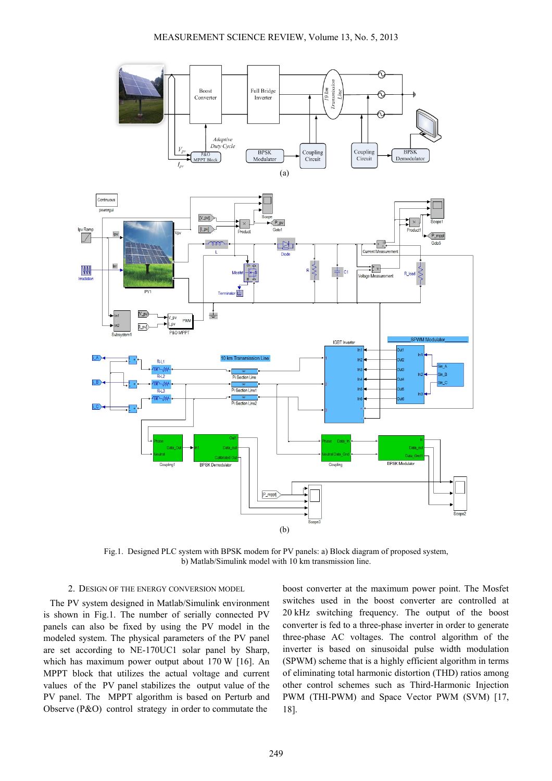

Fig.1. Designed PLC system with BPSK modem for PV panels: a) Block diagram of proposed system, b) Matlab/Simulink model with 10 km transmission line.

# 2. DESIGN OF THE ENERGY CONVERSION MODEL

The PV system designed in Matlab/Simulink environment is shown in Fig.1. The number of serially connected PV panels can also be fixed by using the PV model in the modeled system. The physical parameters of the PV panel are set according to NE-170UC1 solar panel by Sharp, which has maximum power output about 170 W [16]. An MPPT block that utilizes the actual voltage and current values of the PV panel stabilizes the output value of the PV panel. The MPPT algorithm is based on Perturb and Observe (P&O) control strategy in order to commutate the

boost converter at the maximum power point. The Mosfet switches used in the boost converter are controlled at 20 kHz switching frequency. The output of the boost converter is fed to a three-phase inverter in order to generate three-phase AC voltages. The control algorithm of the inverter is based on sinusoidal pulse width modulation (SPWM) scheme that is a highly efficient algorithm in terms of eliminating total harmonic distortion (THD) ratios among other control schemes such as Third-Harmonic Injection PWM (THI-PWM) and Space Vector PWM (SVM) [17, 18].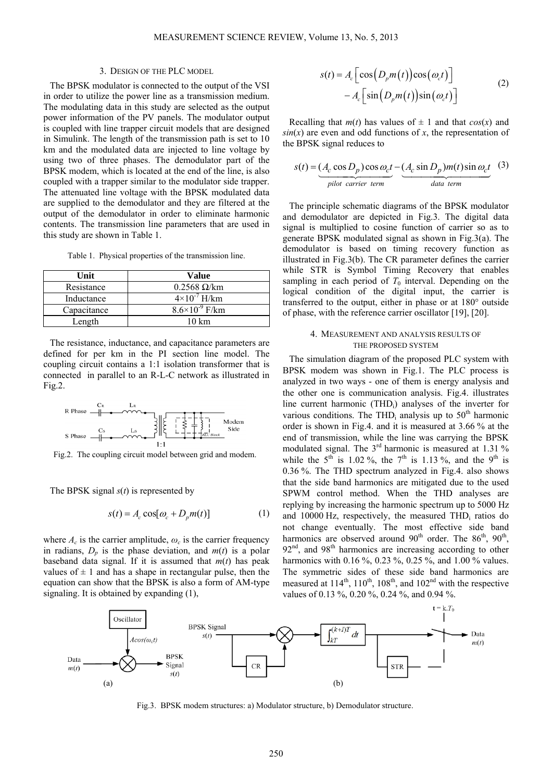#### 3. DESIGN OF THE PLC MODEL

The BPSK modulator is connected to the output of the VSI in order to utilize the power line as a transmission medium. The modulating data in this study are selected as the output power information of the PV panels. The modulator output is coupled with line trapper circuit models that are designed in Simulink. The length of the transmission path is set to 10 km and the modulated data are injected to line voltage by using two of three phases. The demodulator part of the BPSK modem, which is located at the end of the line, is also coupled with a trapper similar to the modulator side trapper. The attenuated line voltage with the BPSK modulated data are supplied to the demodulator and they are filtered at the output of the demodulator in order to eliminate harmonic contents. The transmission line parameters that are used in this study are shown in Table 1.

Table 1. Physical properties of the transmission line.

| Unit        | Value                     |
|-------------|---------------------------|
| Resistance  | $0.2568$ $\Omega$ /km     |
| Inductance  | $4\times10^{-7}$ H/km     |
| Capacitance | $8.6 \times 10^{-9}$ F/km |
| Length      | 10 km                     |

The resistance, inductance, and capacitance parameters are defined for per km in the PI section line model. The coupling circuit contains a 1:1 isolation transformer that is connected in parallel to an R-L-C network as illustrated in Fig.2.



Fig.2. The coupling circuit model between grid and modem.

The BPSK signal *s*(*t*) is represented by

$$
s(t) = A_c \cos[\omega_c + D_p m(t)] \tag{1}
$$

where  $A_c$  is the carrier amplitude,  $\omega_c$  is the carrier frequency in radians,  $D_p$  is the phase deviation, and  $m(t)$  is a polar baseband data signal. If it is assumed that *m*(*t*) has peak values of  $\pm$  1 and has a shape in rectangular pulse, then the equation can show that the BPSK is also a form of AM-type signaling. It is obtained by expanding (1),

$$
s(t) = A_c \left[ \cos(D_p m(t)) \cos(\omega_c t) \right]
$$
  
- 
$$
A_c \left[ \sin(D_p m(t)) \sin(\omega_c t) \right]
$$
 (2)

Recalling that  $m(t)$  has values of  $\pm$  1 and that  $cos(x)$  and  $sin(x)$  are even and odd functions of *x*, the representation of the BPSK signal reduces to

$$
s(t) = \underbrace{(A_c \cos D_p) \cos \omega_c t}_{pilot \text{ carrier term}} - \underbrace{(A_c \sin D_p)m(t) \sin \omega_c t}_{data \text{ term}} \quad (3)
$$

The principle schematic diagrams of the BPSK modulator and demodulator are depicted in Fig.3. The digital data signal is multiplied to cosine function of carrier so as to generate BPSK modulated signal as shown in Fig.3(a). The demodulator is based on timing recovery function as illustrated in Fig.3(b). The CR parameter defines the carrier while STR is Symbol Timing Recovery that enables sampling in each period of  $T_0$  interval. Depending on the logical condition of the digital input, the carrier is transferred to the output, either in phase or at 180° outside of phase, with the reference carrier oscillator [19], [20].

## 4. MEASUREMENT AND ANALYSIS RESULTS OF THE PROPOSED SYSTEM

The simulation diagram of the proposed PLC system with BPSK modem was shown in Fig.1. The PLC process is analyzed in two ways - one of them is energy analysis and the other one is communication analysis. Fig.4. illustrates line current harmonic (THD;) analyses of the inverter for various conditions. The THD<sub>i</sub> analysis up to  $50<sup>th</sup>$  harmonic order is shown in Fig.4. and it is measured at 3.66 % at the end of transmission, while the line was carrying the BPSK modulated signal. The 3<sup>rd</sup> harmonic is measured at 1.31 % while the  $5^{th}$  is 1.02%, the  $7^{th}$  is 1.13%, and the 9<sup>th</sup> is 0.36 %. The THD spectrum analyzed in Fig.4. also shows that the side band harmonics are mitigated due to the used SPWM control method. When the THD analyses are replying by increasing the harmonic spectrum up to 5000 Hz and 10000 Hz, respectively, the measured THDi ratios do not change eventually. The most effective side band harmonics are observed around  $90<sup>th</sup>$  order. The  $86<sup>th</sup>$ ,  $90<sup>th</sup>$ ,  $92<sup>nd</sup>$ , and  $98<sup>th</sup>$  harmonics are increasing according to other harmonics with 0.16 %, 0.23 %, 0.25 %, and 1.00 % values. The symmetric sides of these side band harmonics are measured at  $114^{th}$ ,  $110^{th}$ ,  $108^{th}$ , and  $102^{nd}$  with the respective values of 0.13 %, 0.20 %, 0.24 %, and 0.94 %.



Fig.3. BPSK modem structures: a) Modulator structure, b) Demodulator structure.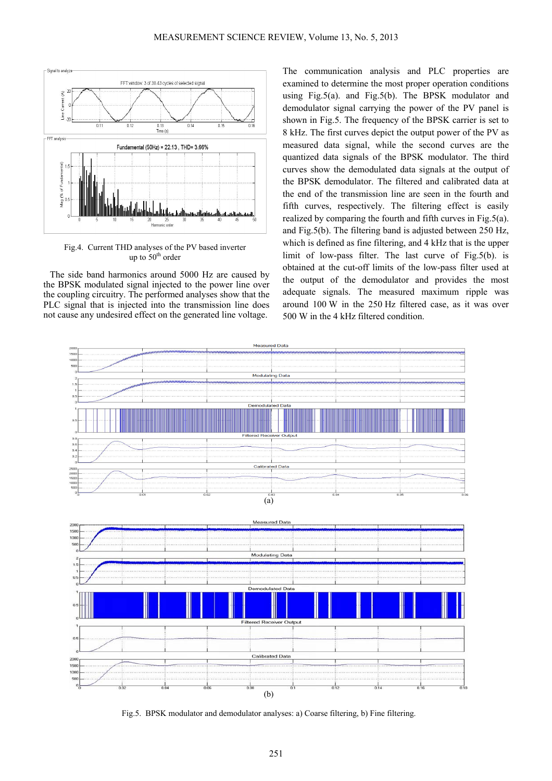

Fig.4. Current THD analyses of the PV based inverter up to  $50<sup>th</sup>$  order

The side band harmonics around 5000 Hz are caused by the BPSK modulated signal injected to the power line over the coupling circuitry. The performed analyses show that the PLC signal that is injected into the transmission line does not cause any undesired effect on the generated line voltage.

The communication analysis and PLC properties are examined to determine the most proper operation conditions using Fig.5(a). and Fig.5(b). The BPSK modulator and demodulator signal carrying the power of the PV panel is shown in Fig.5. The frequency of the BPSK carrier is set to 8 kHz. The first curves depict the output power of the PV as measured data signal, while the second curves are the quantized data signals of the BPSK modulator. The third curves show the demodulated data signals at the output of the BPSK demodulator. The filtered and calibrated data at the end of the transmission line are seen in the fourth and fifth curves, respectively. The filtering effect is easily realized by comparing the fourth and fifth curves in Fig.5(a). and Fig.5(b). The filtering band is adjusted between 250 Hz, which is defined as fine filtering, and 4 kHz that is the upper limit of low-pass filter. The last curve of Fig.5(b). is obtained at the cut-off limits of the low-pass filter used at the output of the demodulator and provides the most adequate signals. The measured maximum ripple was around 100 W in the 250 Hz filtered case, as it was over 500 W in the 4 kHz filtered condition.



Fig.5. BPSK modulator and demodulator analyses: a) Coarse filtering, b) Fine filtering.